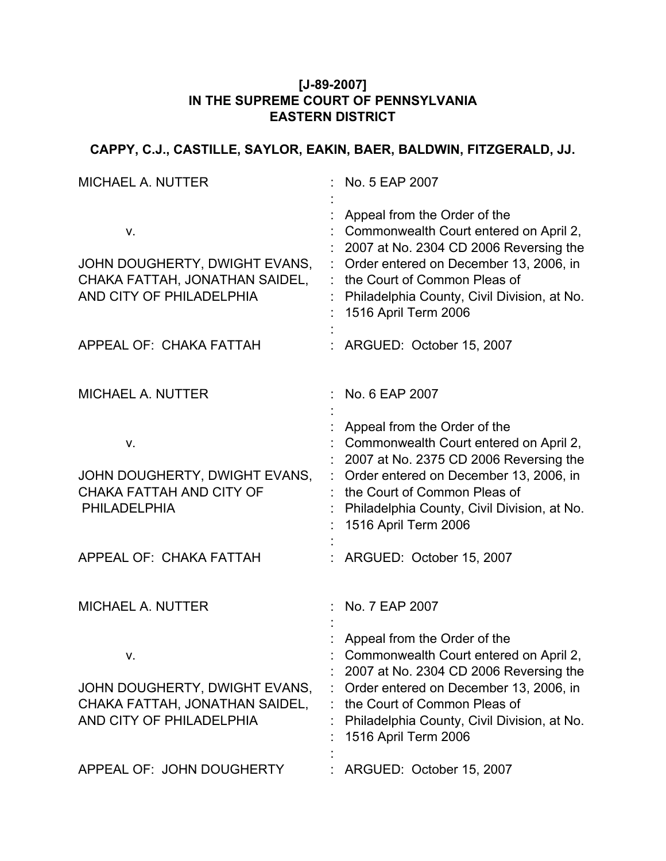#### **[J-89-2007] IN THE SUPREME COURT OF PENNSYLVANIA EASTERN DISTRICT**

## **CAPPY, C.J., CASTILLE, SAYLOR, EAKIN, BAER, BALDWIN, FITZGERALD, JJ.**

| <b>MICHAEL A. NUTTER</b>                                                                                          | No. 5 EAP 2007                                                                                                                                                                                                                                                                                |
|-------------------------------------------------------------------------------------------------------------------|-----------------------------------------------------------------------------------------------------------------------------------------------------------------------------------------------------------------------------------------------------------------------------------------------|
| ν.<br>JOHN DOUGHERTY, DWIGHT EVANS,<br>CHAKA FATTAH, JONATHAN SAIDEL,<br>AND CITY OF PHILADELPHIA                 | Appeal from the Order of the<br>Commonwealth Court entered on April 2,<br>2007 at No. 2304 CD 2006 Reversing the<br>Order entered on December 13, 2006, in<br>the Court of Common Pleas of<br>Philadelphia County, Civil Division, at No.<br>1516 April Term 2006                             |
| APPEAL OF: CHAKA FATTAH                                                                                           | ARGUED: October 15, 2007                                                                                                                                                                                                                                                                      |
| <b>MICHAEL A. NUTTER</b>                                                                                          | No. 6 EAP 2007                                                                                                                                                                                                                                                                                |
| V.<br>JOHN DOUGHERTY, DWIGHT EVANS,<br>CHAKA FATTAH AND CITY OF<br><b>PHILADELPHIA</b><br>APPEAL OF: CHAKA FATTAH | Appeal from the Order of the<br>Commonwealth Court entered on April 2,<br>2007 at No. 2375 CD 2006 Reversing the<br>Order entered on December 13, 2006, in<br>the Court of Common Pleas of<br>Philadelphia County, Civil Division, at No.<br>1516 April Term 2006<br>ARGUED: October 15, 2007 |
| <b>MICHAEL A. NUTTER</b>                                                                                          | No. 7 EAP 2007                                                                                                                                                                                                                                                                                |
| v.<br>JOHN DOUGHERTY, DWIGHT EVANS,<br>CHAKA FATTAH, JONATHAN SAIDEL,<br>AND CITY OF PHILADELPHIA                 | Appeal from the Order of the<br>Commonwealth Court entered on April 2,<br>2007 at No. 2304 CD 2006 Reversing the<br>Order entered on December 13, 2006, in<br>the Court of Common Pleas of<br>Philadelphia County, Civil Division, at No.<br>1516 April Term 2006                             |
| APPEAL OF: JOHN DOUGHERTY                                                                                         | ARGUED: October 15, 2007                                                                                                                                                                                                                                                                      |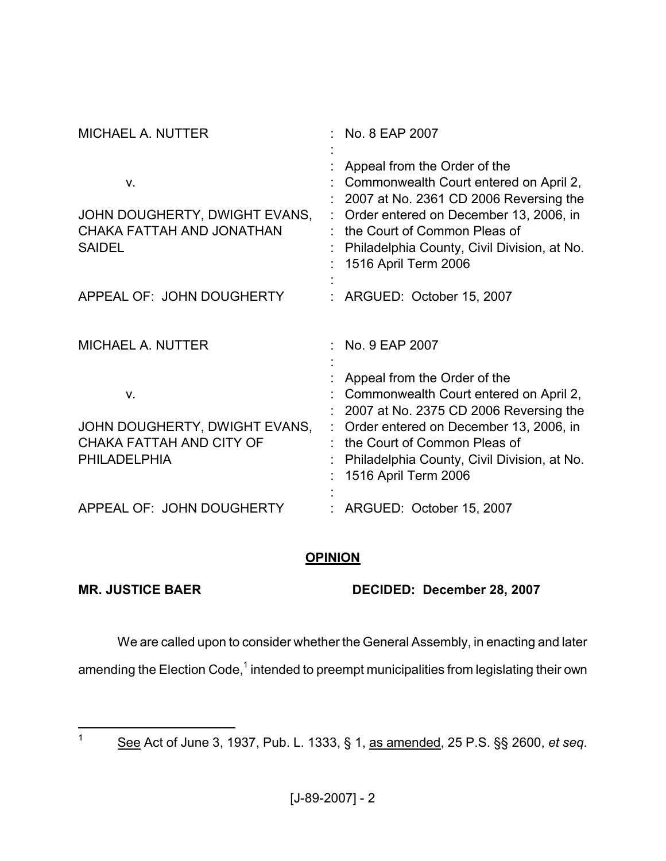| <b>MICHAEL A. NUTTER</b>                                                               | No. 8 EAP 2007                                                                                                                                                                                                                                                    |
|----------------------------------------------------------------------------------------|-------------------------------------------------------------------------------------------------------------------------------------------------------------------------------------------------------------------------------------------------------------------|
| V.<br>JOHN DOUGHERTY, DWIGHT EVANS,<br>CHAKA FATTAH AND JONATHAN<br><b>SAIDEL</b>      | Appeal from the Order of the<br>Commonwealth Court entered on April 2,<br>2007 at No. 2361 CD 2006 Reversing the<br>Order entered on December 13, 2006, in<br>the Court of Common Pleas of<br>Philadelphia County, Civil Division, at No.<br>1516 April Term 2006 |
| APPEAL OF: JOHN DOUGHERTY                                                              | ARGUED: October 15, 2007                                                                                                                                                                                                                                          |
| <b>MICHAEL A. NUTTER</b>                                                               | No. 9 EAP 2007                                                                                                                                                                                                                                                    |
| v.<br>JOHN DOUGHERTY, DWIGHT EVANS,<br>CHAKA FATTAH AND CITY OF<br><b>PHILADELPHIA</b> | Appeal from the Order of the<br>Commonwealth Court entered on April 2,<br>2007 at No. 2375 CD 2006 Reversing the<br>Order entered on December 13, 2006, in<br>the Court of Common Pleas of<br>Philadelphia County, Civil Division, at No.<br>1516 April Term 2006 |
| APPEAL OF: JOHN DOUGHERTY                                                              | ARGUED: October 15, 2007                                                                                                                                                                                                                                          |

### **OPINION**

**MR. JUSTICE BAER DECIDED: December 28, 2007**

We are called upon to consider whether the General Assembly, in enacting and later

amending the Election Code,<sup>1</sup> intended to preempt municipalities from legislating their own

<sup>1</sup> See Act of June 3, 1937, Pub. L. 1333, § 1, as amended, 25 P.S. §§ 2600, *et seq*.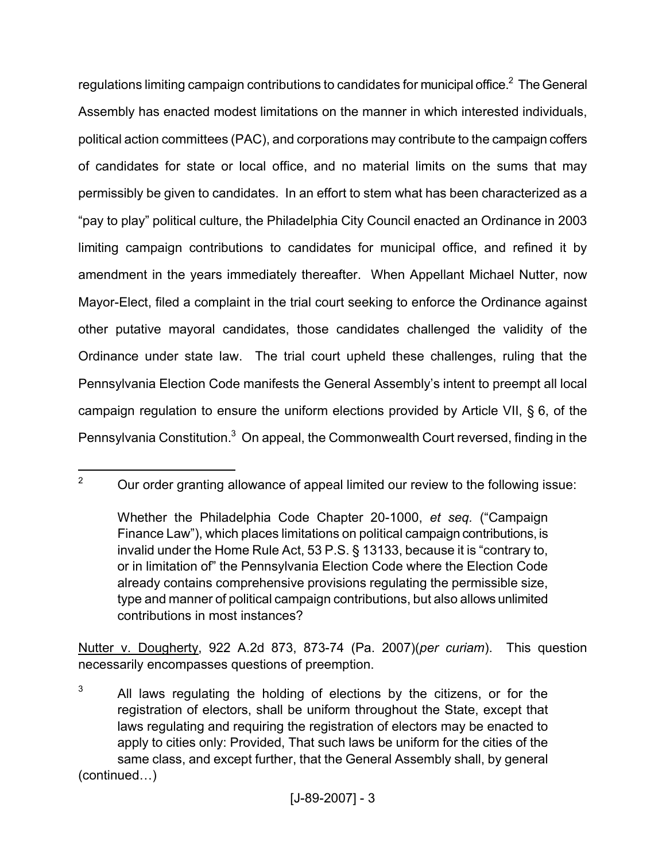regulations limiting campaign contributions to candidates for municipal office. $^2$  The General Assembly has enacted modest limitations on the manner in which interested individuals, political action committees (PAC), and corporations may contribute to the campaign coffers of candidates for state or local office, and no material limits on the sums that may permissibly be given to candidates. In an effort to stem what has been characterized as a "pay to play" political culture, the Philadelphia City Council enacted an Ordinance in 2003 limiting campaign contributions to candidates for municipal office, and refined it by amendment in the years immediately thereafter. When Appellant Michael Nutter, now Mayor-Elect, filed a complaint in the trial court seeking to enforce the Ordinance against other putative mayoral candidates, those candidates challenged the validity of the Ordinance under state law. The trial court upheld these challenges, ruling that the Pennsylvania Election Code manifests the General Assembly's intent to preempt all local campaign regulation to ensure the uniform elections provided by Article VII, § 6, of the Pennsylvania Constitution.<sup>3</sup> On appeal, the Commonwealth Court reversed, finding in the

Nutter v. Dougherty, 922 A.2d 873, 873-74 (Pa. 2007)(*per curiam*). This question necessarily encompasses questions of preemption.

<sup>&</sup>lt;sup>2</sup> Our order granting allowance of appeal limited our review to the following issue:

Whether the Philadelphia Code Chapter 20-1000, *et seq.* ("Campaign Finance Law"), which places limitations on political campaign contributions, is invalid under the Home Rule Act, 53 P.S. § 13133, because it is "contrary to, or in limitation of" the Pennsylvania Election Code where the Election Code already contains comprehensive provisions regulating the permissible size, type and manner of political campaign contributions, but also allows unlimited contributions in most instances?

 $3$  All laws regulating the holding of elections by the citizens, or for the registration of electors, shall be uniform throughout the State, except that laws regulating and requiring the registration of electors may be enacted to apply to cities only: Provided, That such laws be uniform for the cities of the same class, and except further, that the General Assembly shall, by general (continued…)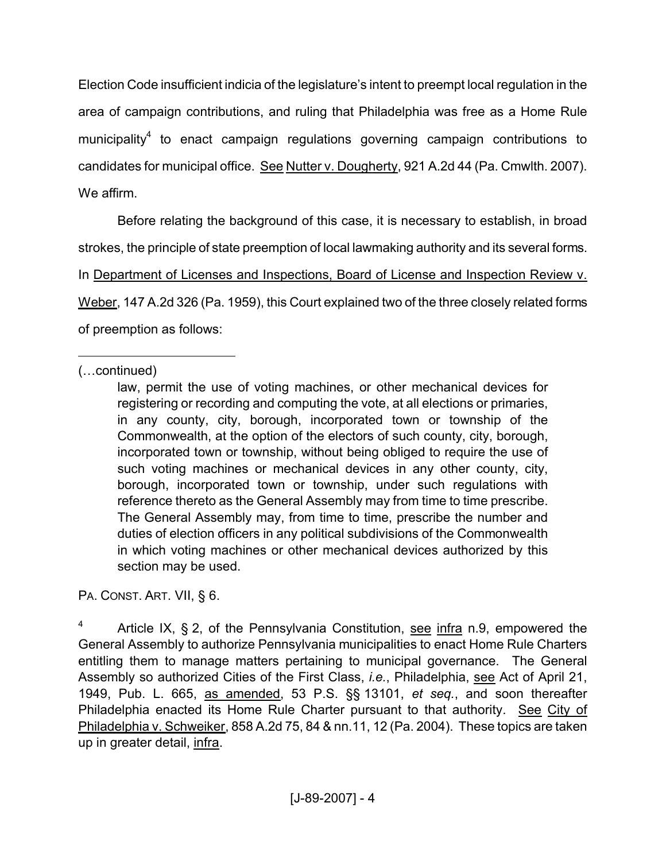Election Code insufficient indicia of the legislature's intent to preempt local regulation in the area of campaign contributions, and ruling that Philadelphia was free as a Home Rule municipality<sup>4</sup> to enact campaign regulations governing campaign contributions to candidates for municipal office. See Nutter v. Dougherty, 921 A.2d 44 (Pa. Cmwlth. 2007). We affirm.

Before relating the background of this case, it is necessary to establish, in broad strokes, the principle of state preemption of local lawmaking authority and its several forms. In Department of Licenses and Inspections, Board of License and Inspection Review v. Weber, 147 A.2d 326 (Pa. 1959), this Court explained two of the three closely related forms of preemption as follows:

(…continued)

PA. CONST. ART. VII, § 6.

Article IX, § 2, of the Pennsylvania Constitution, see infra n.9, empowered the General Assembly to authorize Pennsylvania municipalities to enact Home Rule Charters entitling them to manage matters pertaining to municipal governance. The General Assembly so authorized Cities of the First Class, *i.e.*, Philadelphia, see Act of April 21, 1949, Pub. L. 665, as amended, 53 P.S. §§ 13101, *et seq.*, and soon thereafter Philadelphia enacted its Home Rule Charter pursuant to that authority. See City of Philadelphia v. Schweiker, 858 A.2d 75, 84 & nn.11, 12 (Pa. 2004). These topics are taken up in greater detail, infra.

law, permit the use of voting machines, or other mechanical devices for registering or recording and computing the vote, at all elections or primaries, in any county, city, borough, incorporated town or township of the Commonwealth, at the option of the electors of such county, city, borough, incorporated town or township, without being obliged to require the use of such voting machines or mechanical devices in any other county, city, borough, incorporated town or township, under such regulations with reference thereto as the General Assembly may from time to time prescribe. The General Assembly may, from time to time, prescribe the number and duties of election officers in any political subdivisions of the Commonwealth in which voting machines or other mechanical devices authorized by this section may be used.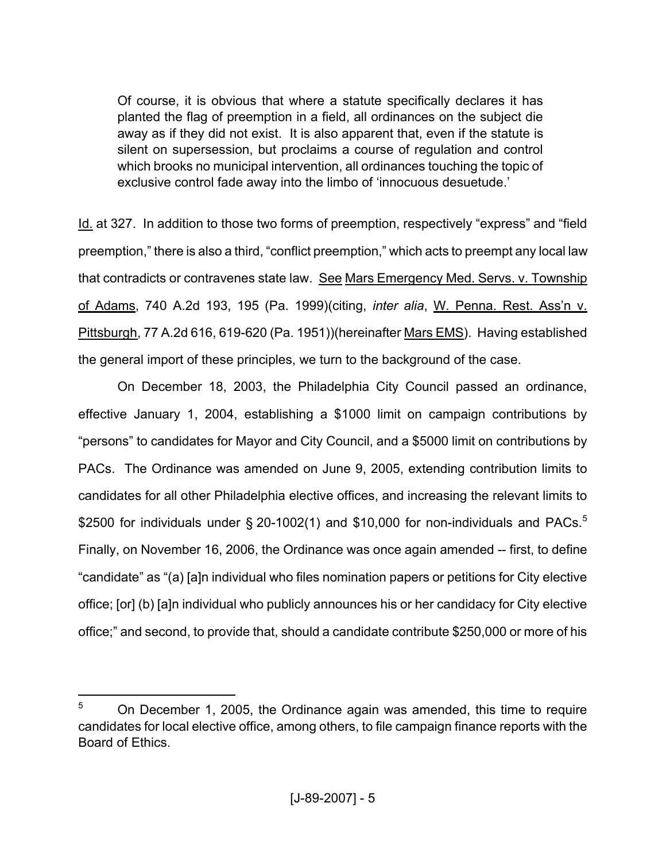Of course, it is obvious that where a statute specifically declares it has planted the flag of preemption in a field, all ordinances on the subject die away as if they did not exist. It is also apparent that, even if the statute is silent on supersession, but proclaims a course of regulation and control which brooks no municipal intervention, all ordinances touching the topic of exclusive control fade away into the limbo of 'innocuous desuetude.'

Id. at 327. In addition to those two forms of preemption, respectively "express" and "field preemption," there is also a third, "conflict preemption," which acts to preempt any local law that contradicts or contravenes state law. See Mars Emergency Med. Servs. v. Township of Adams, 740 A.2d 193, 195 (Pa. 1999)(citing, *inter alia*, W. Penna. Rest. Ass'n v. Pittsburgh, 77 A.2d 616, 619-620 (Pa. 1951))(hereinafter Mars EMS). Having established the general import of these principles, we turn to the background of the case.

On December 18, 2003, the Philadelphia City Council passed an ordinance, effective January 1, 2004, establishing a \$1000 limit on campaign contributions by "persons" to candidates for Mayor and City Council, and a \$5000 limit on contributions by PACs. The Ordinance was amended on June 9, 2005, extending contribution limits to candidates for all other Philadelphia elective offices, and increasing the relevant limits to \$2500 for individuals under § 20-1002(1) and \$10,000 for non-individuals and PACs.<sup>5</sup> Finally, on November 16, 2006, the Ordinance was once again amended -- first, to define "candidate" as "(a) [a]n individual who files nomination papers or petitions for City elective office; [or] (b) [a]n individual who publicly announces his or her candidacy for City elective office;" and second, to provide that, should a candidate contribute \$250,000 or more of his

 $5$  On December 1, 2005, the Ordinance again was amended, this time to require candidates for local elective office, among others, to file campaign finance reports with the Board of Ethics.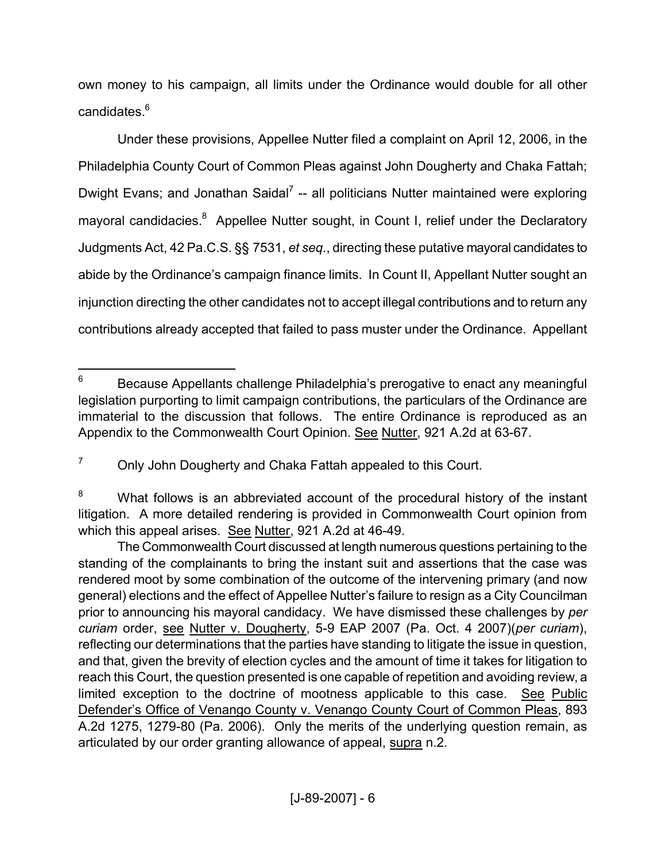own money to his campaign, all limits under the Ordinance would double for all other candidates.<sup>6</sup>

Under these provisions, Appellee Nutter filed a complaint on April 12, 2006, in the Philadelphia County Court of Common Pleas against John Dougherty and Chaka Fattah; Dwight Evans; and Jonathan Saidal<sup>7</sup> -- all politicians Nutter maintained were exploring mayoral candidacies.<sup>8</sup> Appellee Nutter sought, in Count I, relief under the Declaratory Judgments Act, 42 Pa.C.S. §§ 7531, *et seq.*, directing these putative mayoral candidates to abide by the Ordinance's campaign finance limits. In Count II, Appellant Nutter sought an injunction directing the other candidates not to accept illegal contributions and to return any contributions already accepted that failed to pass muster under the Ordinance. Appellant

 $6$  Because Appellants challenge Philadelphia's prerogative to enact any meaningful legislation purporting to limit campaign contributions, the particulars of the Ordinance are immaterial to the discussion that follows. The entire Ordinance is reproduced as an Appendix to the Commonwealth Court Opinion. See Nutter, 921 A.2d at 63-67.

 $7$  Only John Dougherty and Chaka Fattah appealed to this Court.

<sup>&</sup>lt;sup>8</sup> What follows is an abbreviated account of the procedural history of the instant litigation. A more detailed rendering is provided in Commonwealth Court opinion from which this appeal arises. See Nutter, 921 A.2d at 46-49.

The Commonwealth Court discussed at length numerous questions pertaining to the standing of the complainants to bring the instant suit and assertions that the case was rendered moot by some combination of the outcome of the intervening primary (and now general) elections and the effect of Appellee Nutter's failure to resign as a City Councilman prior to announcing his mayoral candidacy. We have dismissed these challenges by *per curiam* order, see Nutter v. Dougherty, 5-9 EAP 2007 (Pa. Oct. 4 2007)(*per curiam*), reflecting our determinations that the parties have standing to litigate the issue in question, and that, given the brevity of election cycles and the amount of time it takes for litigation to reach this Court, the question presented is one capable of repetition and avoiding review, a limited exception to the doctrine of mootness applicable to this case. See Public Defender's Office of Venango County v. Venango County Court of Common Pleas, 893 A.2d 1275, 1279-80 (Pa. 2006). Only the merits of the underlying question remain, as articulated by our order granting allowance of appeal, supra n.2.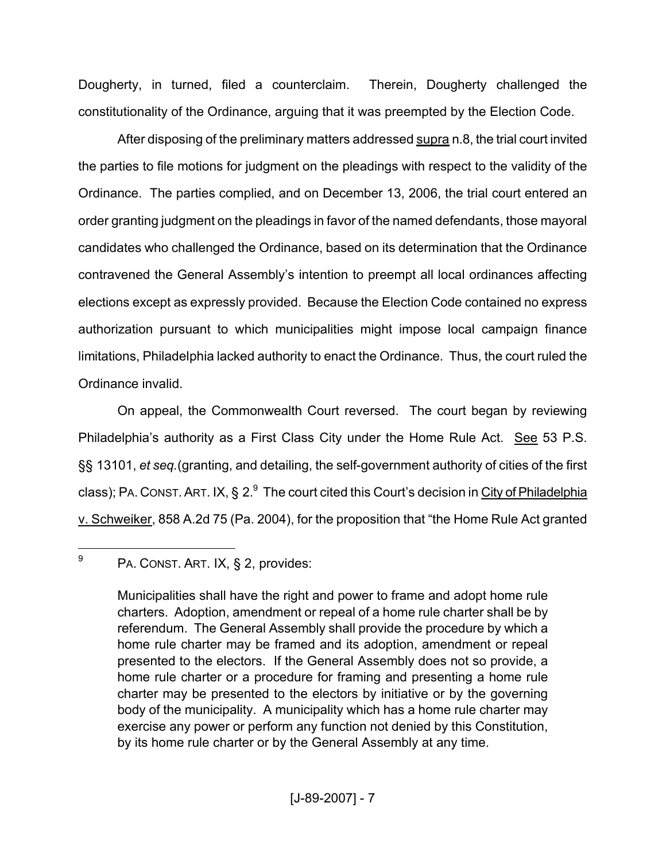Dougherty, in turned, filed a counterclaim. Therein, Dougherty challenged the constitutionality of the Ordinance, arguing that it was preempted by the Election Code.

After disposing of the preliminary matters addressed supra n.8, the trial court invited the parties to file motions for judgment on the pleadings with respect to the validity of the Ordinance. The parties complied, and on December 13, 2006, the trial court entered an order granting judgment on the pleadings in favor of the named defendants, those mayoral candidates who challenged the Ordinance, based on its determination that the Ordinance contravened the General Assembly's intention to preempt all local ordinances affecting elections except as expressly provided. Because the Election Code contained no express authorization pursuant to which municipalities might impose local campaign finance limitations, Philadelphia lacked authority to enact the Ordinance. Thus, the court ruled the Ordinance invalid.

On appeal, the Commonwealth Court reversed. The court began by reviewing Philadelphia's authority as a First Class City under the Home Rule Act. See 53 P.S. §§ 13101, *et seq.*(granting, and detailing, the self-government authority of cities of the first class); PA. CONST. ART. IX, § 2.<sup>9</sup> The court cited this Court's decision in <u>City of Philadelphia</u> v. Schweiker, 858 A.2d 75 (Pa. 2004), for the proposition that "the Home Rule Act granted

<sup>9</sup> PA. CONST. ART. IX, § 2, provides:

Municipalities shall have the right and power to frame and adopt home rule charters. Adoption, amendment or repeal of a home rule charter shall be by referendum. The General Assembly shall provide the procedure by which a home rule charter may be framed and its adoption, amendment or repeal presented to the electors. If the General Assembly does not so provide, a home rule charter or a procedure for framing and presenting a home rule charter may be presented to the electors by initiative or by the governing body of the municipality. A municipality which has a home rule charter may exercise any power or perform any function not denied by this Constitution, by its home rule charter or by the General Assembly at any time.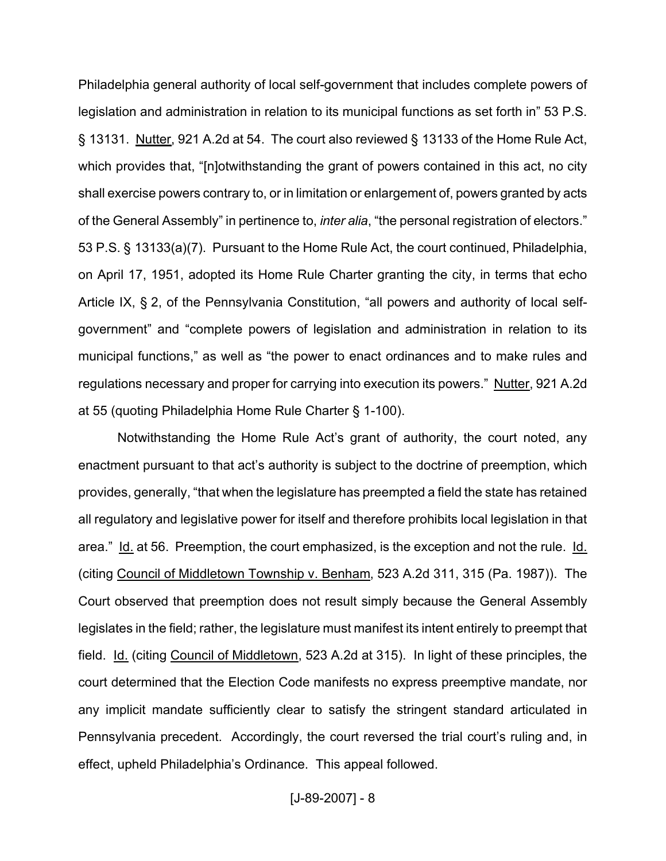Philadelphia general authority of local self-government that includes complete powers of legislation and administration in relation to its municipal functions as set forth in" 53 P.S. § 13131. Nutter, 921 A.2d at 54. The court also reviewed § 13133 of the Home Rule Act, which provides that, "[n]otwithstanding the grant of powers contained in this act, no city shall exercise powers contrary to, or in limitation or enlargement of, powers granted by acts of the General Assembly" in pertinence to, *inter alia*, "the personal registration of electors." 53 P.S. § 13133(a)(7). Pursuant to the Home Rule Act, the court continued, Philadelphia, on April 17, 1951, adopted its Home Rule Charter granting the city, in terms that echo Article IX, § 2, of the Pennsylvania Constitution, "all powers and authority of local selfgovernment" and "complete powers of legislation and administration in relation to its municipal functions," as well as "the power to enact ordinances and to make rules and regulations necessary and proper for carrying into execution its powers." Nutter, 921 A.2d at 55 (quoting Philadelphia Home Rule Charter § 1-100).

Notwithstanding the Home Rule Act's grant of authority, the court noted, any enactment pursuant to that act's authority is subject to the doctrine of preemption, which provides, generally, "that when the legislature has preempted a field the state has retained all regulatory and legislative power for itself and therefore prohibits local legislation in that area." Id. at 56. Preemption, the court emphasized, is the exception and not the rule. Id. (citing Council of Middletown Township v. Benham, 523 A.2d 311, 315 (Pa. 1987)). The Court observed that preemption does not result simply because the General Assembly legislates in the field; rather, the legislature must manifest its intent entirely to preempt that field. Id. (citing Council of Middletown, 523 A.2d at 315). In light of these principles, the court determined that the Election Code manifests no express preemptive mandate, nor any implicit mandate sufficiently clear to satisfy the stringent standard articulated in Pennsylvania precedent. Accordingly, the court reversed the trial court's ruling and, in effect, upheld Philadelphia's Ordinance. This appeal followed.

[J-89-2007] - 8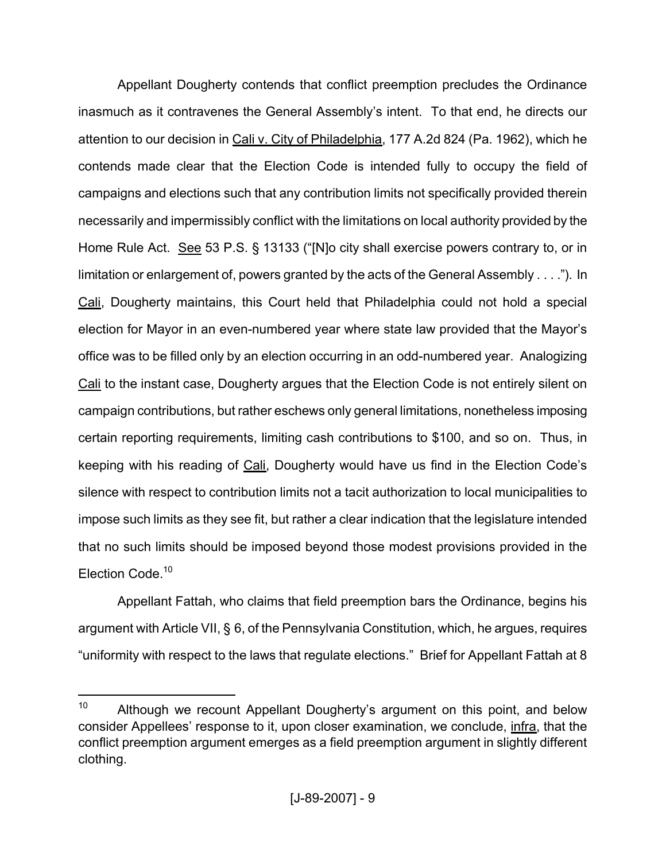Appellant Dougherty contends that conflict preemption precludes the Ordinance inasmuch as it contravenes the General Assembly's intent. To that end, he directs our attention to our decision in Cali v. City of Philadelphia, 177 A.2d 824 (Pa. 1962), which he contends made clear that the Election Code is intended fully to occupy the field of campaigns and elections such that any contribution limits not specifically provided therein necessarily and impermissibly conflict with the limitations on local authority provided by the Home Rule Act. See 53 P.S. § 13133 ("[N]o city shall exercise powers contrary to, or in limitation or enlargement of, powers granted by the acts of the General Assembly . . . ."). In Cali, Dougherty maintains, this Court held that Philadelphia could not hold a special election for Mayor in an even-numbered year where state law provided that the Mayor's office was to be filled only by an election occurring in an odd-numbered year. Analogizing Cali to the instant case, Dougherty argues that the Election Code is not entirely silent on campaign contributions, but rather eschews only general limitations, nonetheless imposing certain reporting requirements, limiting cash contributions to \$100, and so on. Thus, in keeping with his reading of Cali, Dougherty would have us find in the Election Code's silence with respect to contribution limits not a tacit authorization to local municipalities to impose such limits as they see fit, but rather a clear indication that the legislature intended that no such limits should be imposed beyond those modest provisions provided in the Election Code.<sup>10</sup>

Appellant Fattah, who claims that field preemption bars the Ordinance, begins his argument with Article VII, § 6, of the Pennsylvania Constitution, which, he argues, requires "uniformity with respect to the laws that regulate elections." Brief for Appellant Fattah at 8

<sup>&</sup>lt;sup>10</sup> Although we recount Appellant Dougherty's argument on this point, and below consider Appellees' response to it, upon closer examination, we conclude, infra, that the conflict preemption argument emerges as a field preemption argument in slightly different clothing.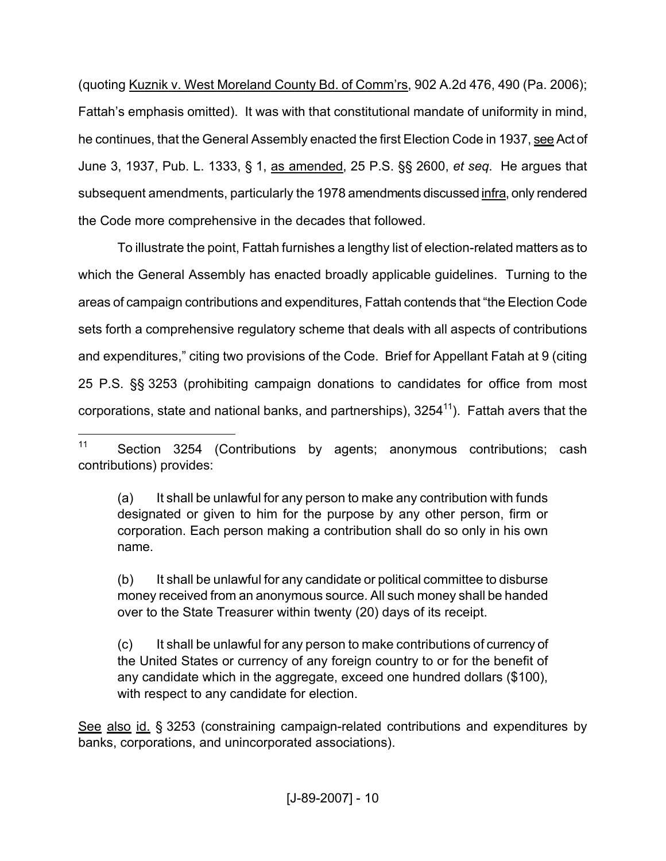(quoting Kuznik v. West Moreland County Bd. of Comm'rs, 902 A.2d 476, 490 (Pa. 2006); Fattah's emphasis omitted). It was with that constitutional mandate of uniformity in mind, he continues, that the General Assembly enacted the first Election Code in 1937, see Act of June 3, 1937, Pub. L. 1333, § 1, as amended, 25 P.S. §§ 2600, *et seq*. He argues that subsequent amendments, particularly the 1978 amendments discussed infra, only rendered the Code more comprehensive in the decades that followed.

To illustrate the point, Fattah furnishes a lengthy list of election-related matters as to which the General Assembly has enacted broadly applicable guidelines. Turning to the areas of campaign contributions and expenditures, Fattah contends that "the Election Code sets forth a comprehensive regulatory scheme that deals with all aspects of contributions and expenditures," citing two provisions of the Code. Brief for Appellant Fatah at 9 (citing 25 P.S. §§ 3253 (prohibiting campaign donations to candidates for office from most corporations, state and national banks, and partnerships),  $3254<sup>11</sup>$ ). Fattah avers that the

(a) It shall be unlawful for any person to make any contribution with funds designated or given to him for the purpose by any other person, firm or corporation. Each person making a contribution shall do so only in his own name.

(b) It shall be unlawful for any candidate or political committee to disburse money received from an anonymous source. All such money shall be handed over to the State Treasurer within twenty (20) days of its receipt.

(c) It shall be unlawful for any person to make contributions of currency of the United States or currency of any foreign country to or for the benefit of any candidate which in the aggregate, exceed one hundred dollars (\$100), with respect to any candidate for election.

See also id. § 3253 (constraining campaign-related contributions and expenditures by banks, corporations, and unincorporated associations).

<sup>11</sup> Section 3254 (Contributions by agents; anonymous contributions; cash contributions) provides: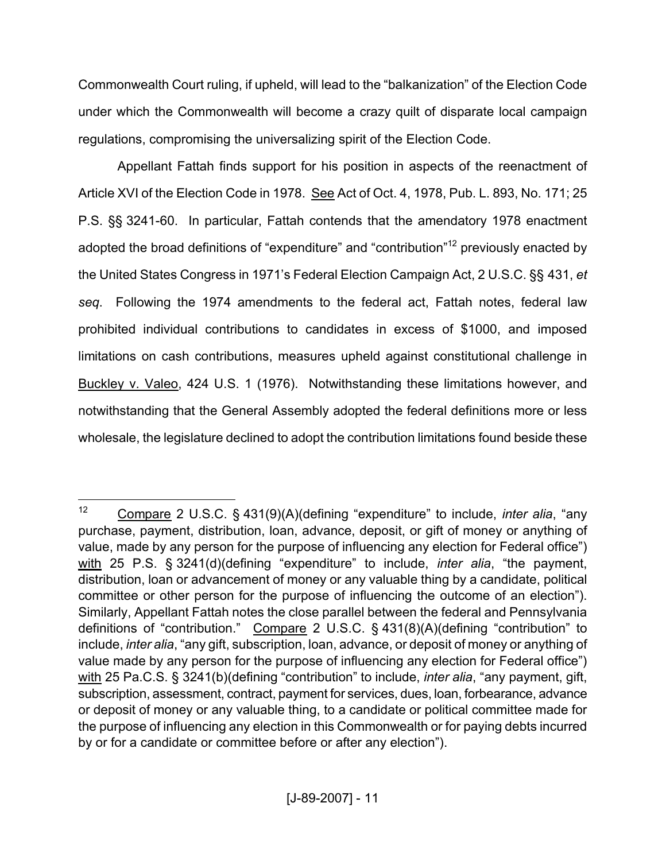Commonwealth Court ruling, if upheld, will lead to the "balkanization" of the Election Code under which the Commonwealth will become a crazy quilt of disparate local campaign regulations, compromising the universalizing spirit of the Election Code.

Appellant Fattah finds support for his position in aspects of the reenactment of Article XVI of the Election Code in 1978. See Act of Oct. 4, 1978, Pub. L. 893, No. 171; 25 P.S. §§ 3241-60. In particular, Fattah contends that the amendatory 1978 enactment adopted the broad definitions of "expenditure" and "contribution"<sup>12</sup> previously enacted by the United States Congress in 1971's Federal Election Campaign Act, 2 U.S.C. §§ 431, *et seq*. Following the 1974 amendments to the federal act, Fattah notes, federal law prohibited individual contributions to candidates in excess of \$1000, and imposed limitations on cash contributions, measures upheld against constitutional challenge in Buckley v. Valeo, 424 U.S. 1 (1976). Notwithstanding these limitations however, and notwithstanding that the General Assembly adopted the federal definitions more or less wholesale, the legislature declined to adopt the contribution limitations found beside these

<sup>12</sup> Compare 2 U.S.C. § 431(9)(A)(defining "expenditure" to include, *inter alia*, "any purchase, payment, distribution, loan, advance, deposit, or gift of money or anything of value, made by any person for the purpose of influencing any election for Federal office") with 25 P.S. § 3241(d)(defining "expenditure" to include, *inter alia*, "the payment, distribution, loan or advancement of money or any valuable thing by a candidate, political committee or other person for the purpose of influencing the outcome of an election"). Similarly, Appellant Fattah notes the close parallel between the federal and Pennsylvania definitions of "contribution." Compare 2 U.S.C. § 431(8)(A)(defining "contribution" to include, *inter alia*, "any gift, subscription, loan, advance, or deposit of money or anything of value made by any person for the purpose of influencing any election for Federal office") with 25 Pa.C.S. § 3241(b)(defining "contribution" to include, *inter alia*, "any payment, gift, subscription, assessment, contract, payment for services, dues, loan, forbearance, advance or deposit of money or any valuable thing, to a candidate or political committee made for the purpose of influencing any election in this Commonwealth or for paying debts incurred by or for a candidate or committee before or after any election").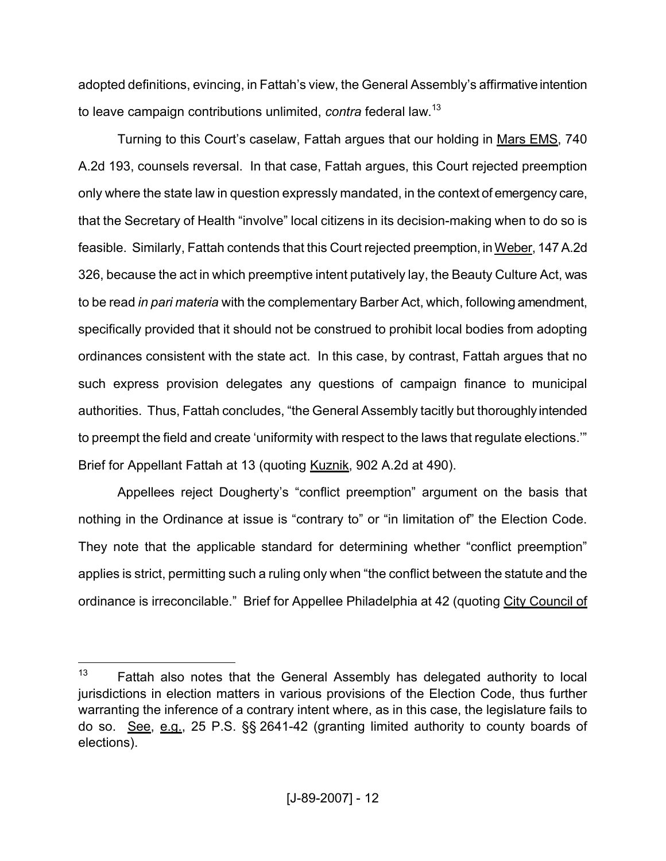adopted definitions, evincing, in Fattah's view, the General Assembly's affirmative intention to leave campaign contributions unlimited, *contra* federal law. 13

Turning to this Court's caselaw, Fattah argues that our holding in Mars EMS, 740 A.2d 193, counsels reversal. In that case, Fattah argues, this Court rejected preemption only where the state law in question expressly mandated, in the context of emergency care, that the Secretary of Health "involve" local citizens in its decision-making when to do so is feasible. Similarly, Fattah contends that this Court rejected preemption, in Weber, 147 A.2d 326, because the act in which preemptive intent putatively lay, the Beauty Culture Act, was to be read *in pari materia* with the complementary Barber Act, which, following amendment, specifically provided that it should not be construed to prohibit local bodies from adopting ordinances consistent with the state act. In this case, by contrast, Fattah argues that no such express provision delegates any questions of campaign finance to municipal authorities. Thus, Fattah concludes, "the General Assembly tacitly but thoroughly intended to preempt the field and create 'uniformity with respect to the laws that regulate elections.'" Brief for Appellant Fattah at 13 (quoting Kuznik, 902 A.2d at 490).

Appellees reject Dougherty's "conflict preemption" argument on the basis that nothing in the Ordinance at issue is "contrary to" or "in limitation of" the Election Code. They note that the applicable standard for determining whether "conflict preemption" applies is strict, permitting such a ruling only when "the conflict between the statute and the ordinance is irreconcilable." Brief for Appellee Philadelphia at 42 (quoting City Council of

 $13$  Fattah also notes that the General Assembly has delegated authority to local jurisdictions in election matters in various provisions of the Election Code, thus further warranting the inference of a contrary intent where, as in this case, the legislature fails to do so. See, e.g., 25 P.S. §§ 2641-42 (granting limited authority to county boards of elections).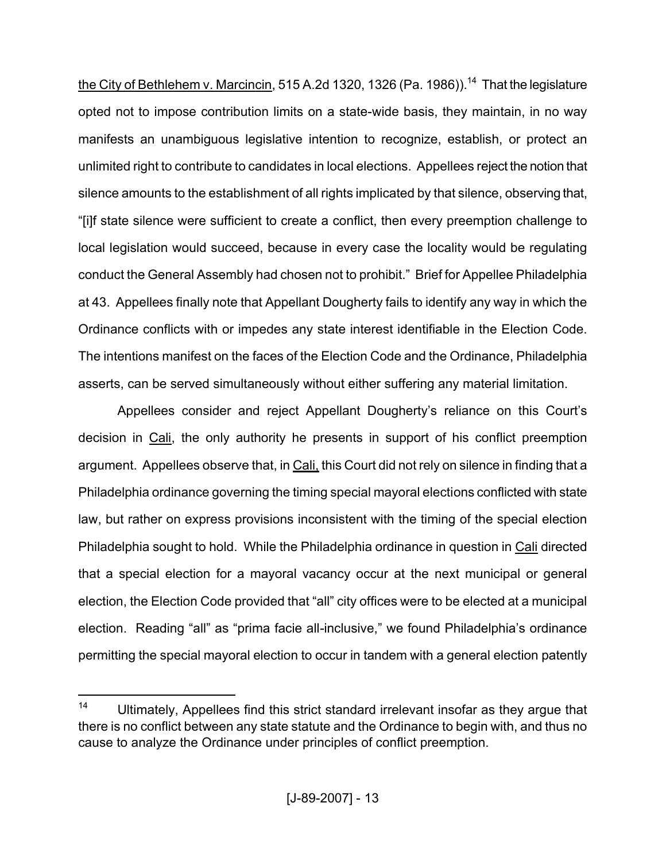the City of Bethlehem v. Marcincin, 515 A.2d 1320, 1326 (Pa. 1986)).<sup>14</sup> That the legislature opted not to impose contribution limits on a state-wide basis, they maintain, in no way manifests an unambiguous legislative intention to recognize, establish, or protect an unlimited right to contribute to candidates in local elections. Appellees reject the notion that silence amounts to the establishment of all rights implicated by that silence, observing that, "[i]f state silence were sufficient to create a conflict, then every preemption challenge to local legislation would succeed, because in every case the locality would be regulating conduct the General Assembly had chosen not to prohibit." Brief for Appellee Philadelphia at 43. Appellees finally note that Appellant Dougherty fails to identify any way in which the Ordinance conflicts with or impedes any state interest identifiable in the Election Code. The intentions manifest on the faces of the Election Code and the Ordinance, Philadelphia asserts, can be served simultaneously without either suffering any material limitation.

Appellees consider and reject Appellant Dougherty's reliance on this Court's decision in Cali, the only authority he presents in support of his conflict preemption argument. Appellees observe that, in Cali, this Court did not rely on silence in finding that a Philadelphia ordinance governing the timing special mayoral elections conflicted with state law, but rather on express provisions inconsistent with the timing of the special election Philadelphia sought to hold. While the Philadelphia ordinance in question in Cali directed that a special election for a mayoral vacancy occur at the next municipal or general election, the Election Code provided that "all" city offices were to be elected at a municipal election. Reading "all" as "prima facie all-inclusive," we found Philadelphia's ordinance permitting the special mayoral election to occur in tandem with a general election patently

<sup>&</sup>lt;sup>14</sup> Ultimately, Appellees find this strict standard irrelevant insofar as they argue that there is no conflict between any state statute and the Ordinance to begin with, and thus no cause to analyze the Ordinance under principles of conflict preemption.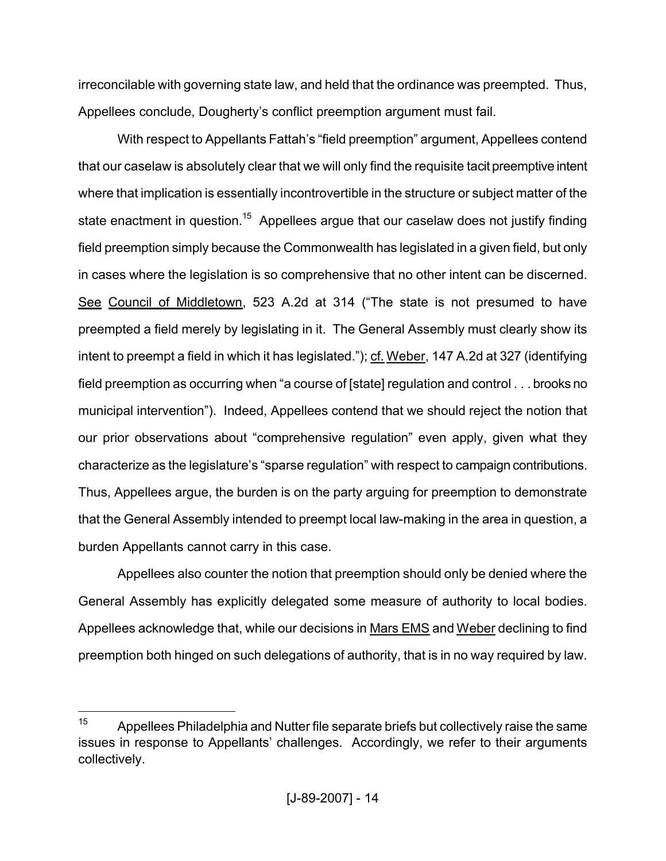irreconcilable with governing state law, and held that the ordinance was preempted. Thus, Appellees conclude, Dougherty's conflict preemption argument must fail.

With respect to Appellants Fattah's "field preemption" argument, Appellees contend that our caselaw is absolutely clear that we will only find the requisite tacit preemptive intent where that implication is essentially incontrovertible in the structure or subject matter of the state enactment in question.<sup>15</sup> Appellees argue that our caselaw does not justify finding field preemption simply because the Commonwealth has legislated in a given field, but only in cases where the legislation is so comprehensive that no other intent can be discerned. See Council of Middletown, 523 A.2d at 314 ("The state is not presumed to have preempted a field merely by legislating in it. The General Assembly must clearly show its intent to preempt a field in which it has legislated."); cf. Weber, 147 A.2d at 327 (identifying field preemption as occurring when "a course of [state] regulation and control . . . brooks no municipal intervention"). Indeed, Appellees contend that we should reject the notion that our prior observations about "comprehensive regulation" even apply, given what they characterize as the legislature's "sparse regulation" with respect to campaign contributions. Thus, Appellees argue, the burden is on the party arguing for preemption to demonstrate that the General Assembly intended to preempt local law-making in the area in question, a burden Appellants cannot carry in this case.

Appellees also counter the notion that preemption should only be denied where the General Assembly has explicitly delegated some measure of authority to local bodies. Appellees acknowledge that, while our decisions in Mars EMS and Weber declining to find preemption both hinged on such delegations of authority, that is in no way required by law.

 $15$  Appellees Philadelphia and Nutter file separate briefs but collectively raise the same issues in response to Appellants' challenges. Accordingly, we refer to their arguments collectively.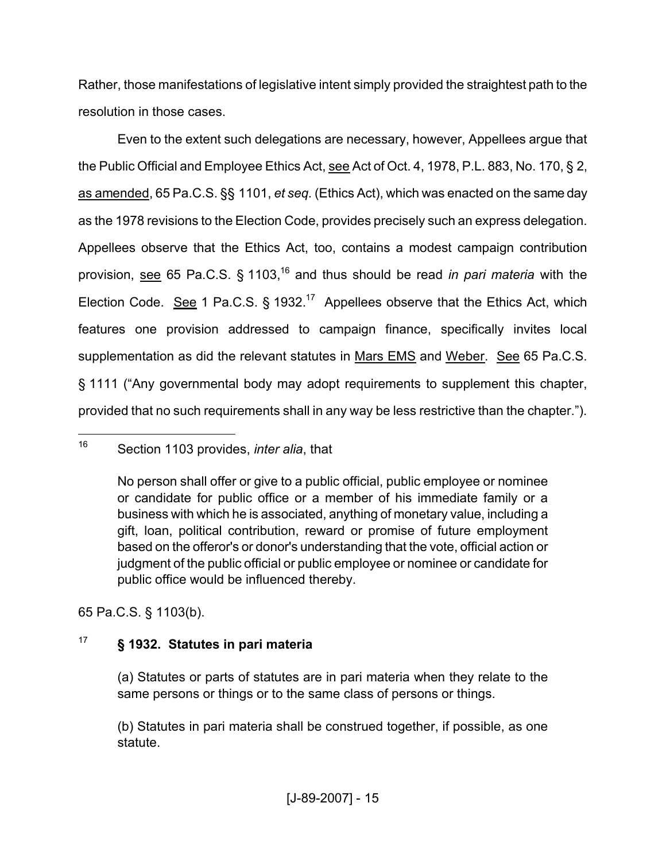Rather, those manifestations of legislative intent simply provided the straightest path to the resolution in those cases.

Even to the extent such delegations are necessary, however, Appellees argue that the Public Official and Employee Ethics Act, see Act of Oct. 4, 1978, P.L. 883, No. 170, § 2, as amended, 65 Pa.C.S. §§ 1101, *et seq.* (Ethics Act), which was enacted on the same day as the 1978 revisions to the Election Code, provides precisely such an express delegation. Appellees observe that the Ethics Act, too, contains a modest campaign contribution provision, see 65 Pa.C.S. § 1103,<sup>16</sup> and thus should be read *in pari materia* with the Election Code. See 1 Pa.C.S.  $\S$  1932.<sup>17</sup> Appellees observe that the Ethics Act, which features one provision addressed to campaign finance, specifically invites local supplementation as did the relevant statutes in Mars EMS and Weber. See 65 Pa.C.S. § 1111 ("Any governmental body may adopt requirements to supplement this chapter, provided that no such requirements shall in any way be less restrictive than the chapter.").

65 Pa.C.S. § 1103(b).

# <sup>17</sup> **§ 1932. Statutes in pari materia**

(a) Statutes or parts of statutes are in pari materia when they relate to the same persons or things or to the same class of persons or things.

(b) Statutes in pari materia shall be construed together, if possible, as one statute.

<sup>16</sup> Section 1103 provides, *inter alia*, that

No person shall offer or give to a public official, public employee or nominee or candidate for public office or a member of his immediate family or a business with which he is associated, anything of monetary value, including a gift, loan, political contribution, reward or promise of future employment based on the offeror's or donor's understanding that the vote, official action or judgment of the public official or public employee or nominee or candidate for public office would be influenced thereby.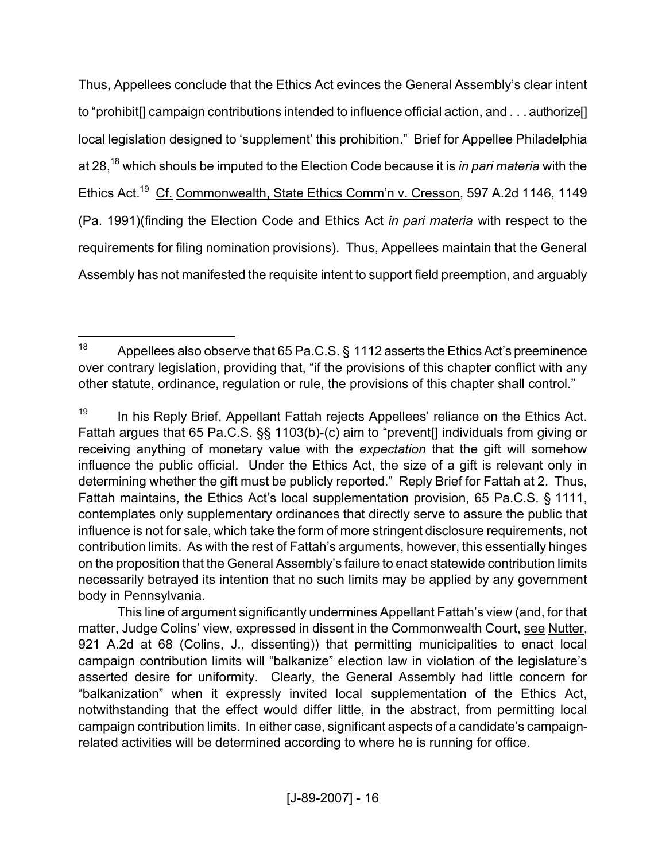Thus, Appellees conclude that the Ethics Act evinces the General Assembly's clear intent to "prohibit[] campaign contributions intended to influence official action, and . . . authorize[] local legislation designed to 'supplement' this prohibition." Brief for Appellee Philadelphia at 28,<sup>18</sup> which shouls be imputed to the Election Code because it is *in pari materia* with the Ethics Act.<sup>19</sup> Cf. Commonwealth, State Ethics Comm'n v. Cresson, 597 A.2d 1146, 1149 (Pa. 1991)(finding the Election Code and Ethics Act *in pari materia* with respect to the requirements for filing nomination provisions). Thus, Appellees maintain that the General Assembly has not manifested the requisite intent to support field preemption, and arguably

<sup>&</sup>lt;sup>18</sup> Appellees also observe that 65 Pa.C.S. § 1112 asserts the Ethics Act's preeminence over contrary legislation, providing that, "if the provisions of this chapter conflict with any other statute, ordinance, regulation or rule, the provisions of this chapter shall control."

<sup>&</sup>lt;sup>19</sup> In his Reply Brief, Appellant Fattah rejects Appellees' reliance on the Ethics Act. Fattah argues that 65 Pa.C.S. §§ 1103(b)-(c) aim to "prevent[] individuals from giving or receiving anything of monetary value with the *expectation* that the gift will somehow influence the public official. Under the Ethics Act, the size of a gift is relevant only in determining whether the gift must be publicly reported." Reply Brief for Fattah at 2. Thus, Fattah maintains, the Ethics Act's local supplementation provision, 65 Pa.C.S. § 1111, contemplates only supplementary ordinances that directly serve to assure the public that influence is not for sale, which take the form of more stringent disclosure requirements, not contribution limits. As with the rest of Fattah's arguments, however, this essentially hinges on the proposition that the General Assembly's failure to enact statewide contribution limits necessarily betrayed its intention that no such limits may be applied by any government body in Pennsylvania.

This line of argument significantly undermines Appellant Fattah's view (and, for that matter, Judge Colins' view, expressed in dissent in the Commonwealth Court, see Nutter, 921 A.2d at 68 (Colins, J., dissenting)) that permitting municipalities to enact local campaign contribution limits will "balkanize" election law in violation of the legislature's asserted desire for uniformity. Clearly, the General Assembly had little concern for "balkanization" when it expressly invited local supplementation of the Ethics Act, notwithstanding that the effect would differ little, in the abstract, from permitting local campaign contribution limits. In either case, significant aspects of a candidate's campaignrelated activities will be determined according to where he is running for office.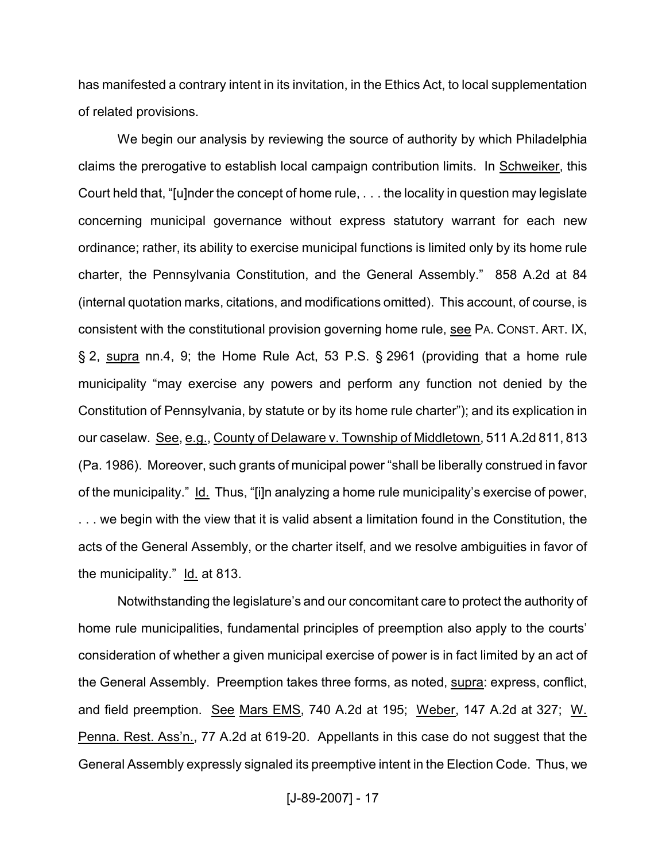has manifested a contrary intent in its invitation, in the Ethics Act, to local supplementation of related provisions.

We begin our analysis by reviewing the source of authority by which Philadelphia claims the prerogative to establish local campaign contribution limits. In Schweiker, this Court held that, "[u]nder the concept of home rule, . . . the locality in question may legislate concerning municipal governance without express statutory warrant for each new ordinance; rather, its ability to exercise municipal functions is limited only by its home rule charter, the Pennsylvania Constitution, and the General Assembly." 858 A.2d at 84 (internal quotation marks, citations, and modifications omitted). This account, of course, is consistent with the constitutional provision governing home rule, see PA. CONST. ART. IX, § 2, supra nn.4, 9; the Home Rule Act, 53 P.S. § 2961 (providing that a home rule municipality "may exercise any powers and perform any function not denied by the Constitution of Pennsylvania, by statute or by its home rule charter"); and its explication in our caselaw. See, e.g., County of Delaware v. Township of Middletown, 511 A.2d 811, 813 (Pa. 1986). Moreover, such grants of municipal power "shall be liberally construed in favor of the municipality." Id. Thus, "[i]n analyzing a home rule municipality's exercise of power, . . . we begin with the view that it is valid absent a limitation found in the Constitution, the acts of the General Assembly, or the charter itself, and we resolve ambiguities in favor of the municipality." Id. at 813.

Notwithstanding the legislature's and our concomitant care to protect the authority of home rule municipalities, fundamental principles of preemption also apply to the courts' consideration of whether a given municipal exercise of power is in fact limited by an act of the General Assembly. Preemption takes three forms, as noted, supra: express, conflict, and field preemption. See Mars EMS, 740 A.2d at 195; Weber, 147 A.2d at 327; W. Penna. Rest. Ass'n., 77 A.2d at 619-20. Appellants in this case do not suggest that the General Assembly expressly signaled its preemptive intent in the Election Code. Thus, we

[J-89-2007] - 17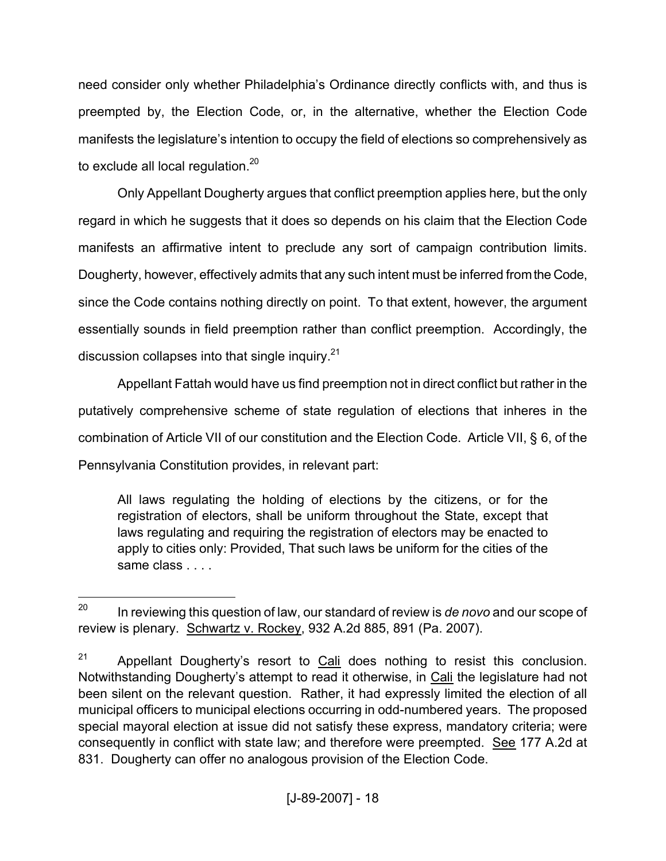need consider only whether Philadelphia's Ordinance directly conflicts with, and thus is preempted by, the Election Code, or, in the alternative, whether the Election Code manifests the legislature's intention to occupy the field of elections so comprehensively as to exclude all local regulation.<sup>20</sup>

Only Appellant Dougherty argues that conflict preemption applies here, but the only regard in which he suggests that it does so depends on his claim that the Election Code manifests an affirmative intent to preclude any sort of campaign contribution limits. Dougherty, however, effectively admits that any such intent must be inferred fromthe Code, since the Code contains nothing directly on point. To that extent, however, the argument essentially sounds in field preemption rather than conflict preemption. Accordingly, the discussion collapses into that single inquiry.<sup>21</sup>

Appellant Fattah would have us find preemption not in direct conflict but rather in the putatively comprehensive scheme of state regulation of elections that inheres in the combination of Article VII of our constitution and the Election Code. Article VII, § 6, of the Pennsylvania Constitution provides, in relevant part:

All laws regulating the holding of elections by the citizens, or for the registration of electors, shall be uniform throughout the State, except that laws regulating and requiring the registration of electors may be enacted to apply to cities only: Provided, That such laws be uniform for the cities of the same class . . . .

<sup>20</sup> In reviewing this question of law, our standard of review is *de novo* and our scope of review is plenary. Schwartz v. Rockey, 932 A.2d 885, 891 (Pa. 2007).

 $21$  Appellant Dougherty's resort to Cali does nothing to resist this conclusion. Notwithstanding Dougherty's attempt to read it otherwise, in Cali the legislature had not been silent on the relevant question. Rather, it had expressly limited the election of all municipal officers to municipal elections occurring in odd-numbered years. The proposed special mayoral election at issue did not satisfy these express, mandatory criteria; were consequently in conflict with state law; and therefore were preempted. See 177 A.2d at 831. Dougherty can offer no analogous provision of the Election Code.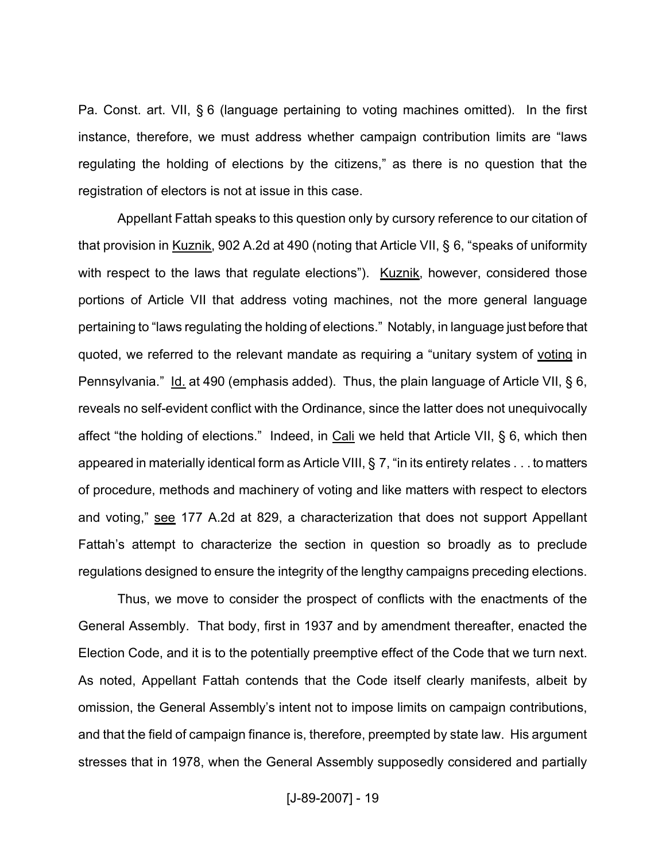Pa. Const. art. VII, § 6 (language pertaining to voting machines omitted). In the first instance, therefore, we must address whether campaign contribution limits are "laws regulating the holding of elections by the citizens," as there is no question that the registration of electors is not at issue in this case.

Appellant Fattah speaks to this question only by cursory reference to our citation of that provision in Kuznik, 902 A.2d at 490 (noting that Article VII, § 6, "speaks of uniformity with respect to the laws that regulate elections"). Kuznik, however, considered those portions of Article VII that address voting machines, not the more general language pertaining to "laws regulating the holding of elections." Notably, in language just before that quoted, we referred to the relevant mandate as requiring a "unitary system of voting in Pennsylvania." Id. at 490 (emphasis added). Thus, the plain language of Article VII, § 6, reveals no self-evident conflict with the Ordinance, since the latter does not unequivocally affect "the holding of elections." Indeed, in Cali we held that Article VII, § 6, which then appeared in materially identical form as Article VIII, § 7, "in its entirety relates . . . to matters of procedure, methods and machinery of voting and like matters with respect to electors and voting," see 177 A.2d at 829, a characterization that does not support Appellant Fattah's attempt to characterize the section in question so broadly as to preclude regulations designed to ensure the integrity of the lengthy campaigns preceding elections.

Thus, we move to consider the prospect of conflicts with the enactments of the General Assembly. That body, first in 1937 and by amendment thereafter, enacted the Election Code, and it is to the potentially preemptive effect of the Code that we turn next. As noted, Appellant Fattah contends that the Code itself clearly manifests, albeit by omission, the General Assembly's intent not to impose limits on campaign contributions, and that the field of campaign finance is, therefore, preempted by state law. His argument stresses that in 1978, when the General Assembly supposedly considered and partially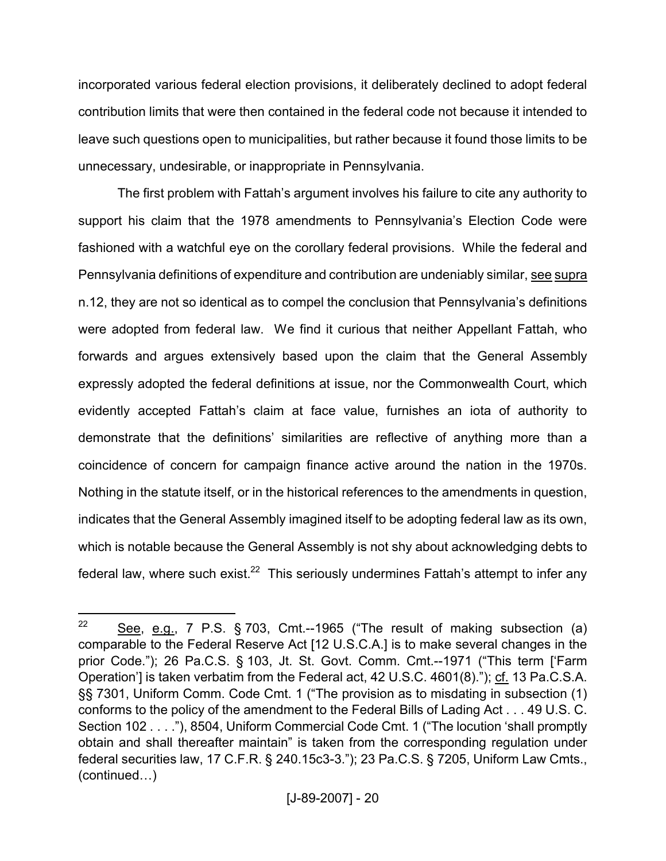incorporated various federal election provisions, it deliberately declined to adopt federal contribution limits that were then contained in the federal code not because it intended to leave such questions open to municipalities, but rather because it found those limits to be unnecessary, undesirable, or inappropriate in Pennsylvania.

The first problem with Fattah's argument involves his failure to cite any authority to support his claim that the 1978 amendments to Pennsylvania's Election Code were fashioned with a watchful eye on the corollary federal provisions. While the federal and Pennsylvania definitions of expenditure and contribution are undeniably similar, see supra n.12, they are not so identical as to compel the conclusion that Pennsylvania's definitions were adopted from federal law. We find it curious that neither Appellant Fattah, who forwards and argues extensively based upon the claim that the General Assembly expressly adopted the federal definitions at issue, nor the Commonwealth Court, which evidently accepted Fattah's claim at face value, furnishes an iota of authority to demonstrate that the definitions' similarities are reflective of anything more than a coincidence of concern for campaign finance active around the nation in the 1970s. Nothing in the statute itself, or in the historical references to the amendments in question, indicates that the General Assembly imagined itself to be adopting federal law as its own, which is notable because the General Assembly is not shy about acknowledging debts to federal law, where such exist.<sup>22</sup> This seriously undermines Fattah's attempt to infer any

 $22$  See, e.g., 7 P.S. § 703, Cmt.--1965 ("The result of making subsection (a) comparable to the Federal Reserve Act [12 U.S.C.A.] is to make several changes in the prior Code."); 26 Pa.C.S. § 103, Jt. St. Govt. Comm. Cmt.--1971 ("This term ['Farm Operation'] is taken verbatim from the Federal act, 42 U.S.C. 4601(8)."); cf. 13 Pa.C.S.A. §§ 7301, Uniform Comm. Code Cmt. 1 ("The provision as to misdating in subsection (1) conforms to the policy of the amendment to the Federal Bills of Lading Act . . . 49 U.S. C. Section 102 . . . ."), 8504, Uniform Commercial Code Cmt. 1 ("The locution 'shall promptly obtain and shall thereafter maintain" is taken from the corresponding regulation under federal securities law, 17 C.F.R. § 240.15c3-3."); 23 Pa.C.S. § 7205, Uniform Law Cmts., (continued…)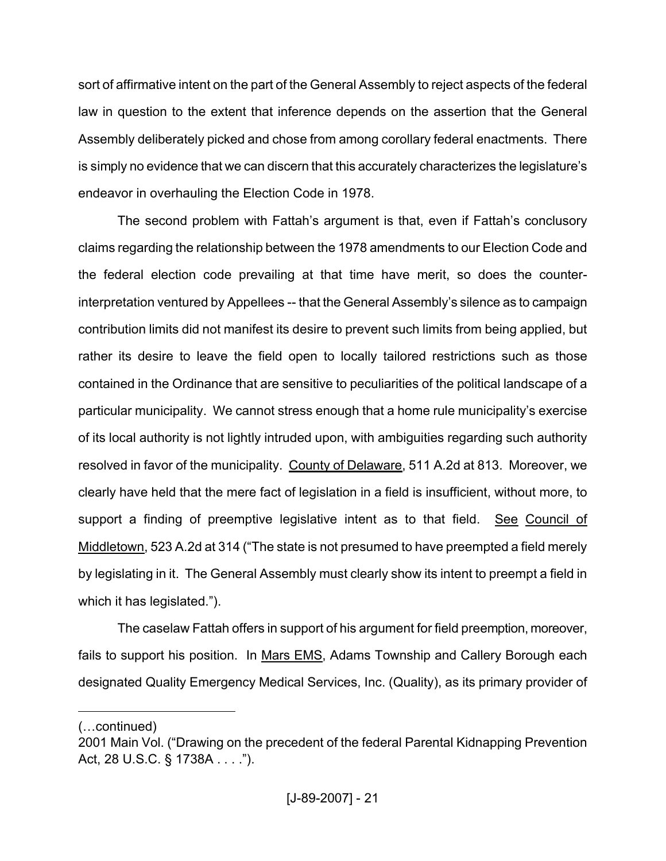sort of affirmative intent on the part of the General Assembly to reject aspects of the federal law in question to the extent that inference depends on the assertion that the General Assembly deliberately picked and chose from among corollary federal enactments. There is simply no evidence that we can discern that this accurately characterizes the legislature's endeavor in overhauling the Election Code in 1978.

The second problem with Fattah's argument is that, even if Fattah's conclusory claims regarding the relationship between the 1978 amendments to our Election Code and the federal election code prevailing at that time have merit, so does the counterinterpretation ventured by Appellees -- that the General Assembly's silence as to campaign contribution limits did not manifest its desire to prevent such limits from being applied, but rather its desire to leave the field open to locally tailored restrictions such as those contained in the Ordinance that are sensitive to peculiarities of the political landscape of a particular municipality. We cannot stress enough that a home rule municipality's exercise of its local authority is not lightly intruded upon, with ambiguities regarding such authority resolved in favor of the municipality. County of Delaware, 511 A.2d at 813. Moreover, we clearly have held that the mere fact of legislation in a field is insufficient, without more, to support a finding of preemptive legislative intent as to that field. See Council of Middletown, 523 A.2d at 314 ("The state is not presumed to have preempted a field merely by legislating in it. The General Assembly must clearly show its intent to preempt a field in which it has legislated.").

The caselaw Fattah offers in support of his argument for field preemption, moreover, fails to support his position. In Mars EMS, Adams Township and Callery Borough each designated Quality Emergency Medical Services, Inc. (Quality), as its primary provider of

<sup>(…</sup>continued)

<sup>2001</sup> Main Vol. ("Drawing on the precedent of the federal Parental Kidnapping Prevention Act, 28 U.S.C. § 1738A . . . .").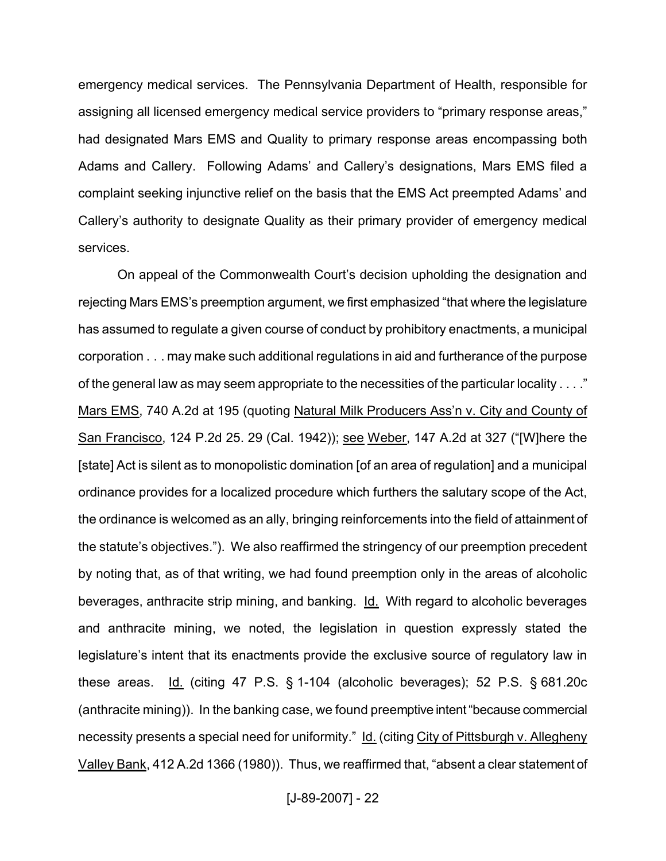emergency medical services. The Pennsylvania Department of Health, responsible for assigning all licensed emergency medical service providers to "primary response areas," had designated Mars EMS and Quality to primary response areas encompassing both Adams and Callery. Following Adams' and Callery's designations, Mars EMS filed a complaint seeking injunctive relief on the basis that the EMS Act preempted Adams' and Callery's authority to designate Quality as their primary provider of emergency medical services.

On appeal of the Commonwealth Court's decision upholding the designation and rejecting Mars EMS's preemption argument, we first emphasized "that where the legislature has assumed to regulate a given course of conduct by prohibitory enactments, a municipal corporation . . . may make such additional regulations in aid and furtherance of the purpose of the general law as may seem appropriate to the necessities of the particular locality . . . ." Mars EMS, 740 A.2d at 195 (quoting Natural Milk Producers Ass'n v. City and County of San Francisco, 124 P.2d 25. 29 (Cal. 1942)); see Weber, 147 A.2d at 327 ("[W]here the [state] Act is silent as to monopolistic domination [of an area of regulation] and a municipal ordinance provides for a localized procedure which furthers the salutary scope of the Act, the ordinance is welcomed as an ally, bringing reinforcements into the field of attainment of the statute's objectives."). We also reaffirmed the stringency of our preemption precedent by noting that, as of that writing, we had found preemption only in the areas of alcoholic beverages, anthracite strip mining, and banking. Id. With regard to alcoholic beverages and anthracite mining, we noted, the legislation in question expressly stated the legislature's intent that its enactments provide the exclusive source of regulatory law in these areas. Id. (citing 47 P.S. § 1-104 (alcoholic beverages); 52 P.S. § 681.20c (anthracite mining)). In the banking case, we found preemptive intent "because commercial necessity presents a special need for uniformity." Id. (citing City of Pittsburgh v. Allegheny Valley Bank, 412 A.2d 1366 (1980)). Thus, we reaffirmed that, "absent a clear statement of

[J-89-2007] - 22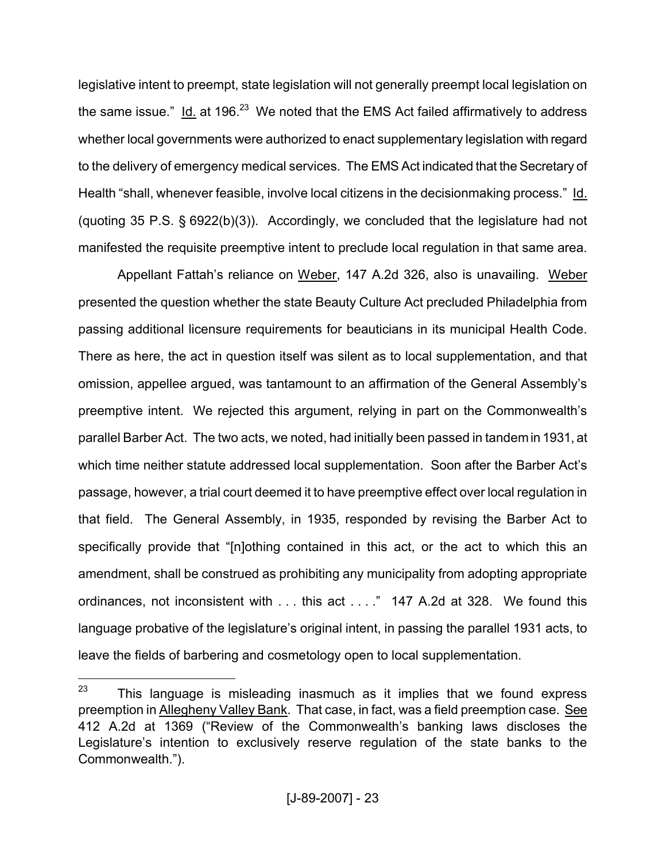legislative intent to preempt, state legislation will not generally preempt local legislation on the same issue." Id. at  $196.<sup>23</sup>$  We noted that the EMS Act failed affirmatively to address whether local governments were authorized to enact supplementary legislation with regard to the delivery of emergency medical services. The EMS Act indicated that the Secretary of Health "shall, whenever feasible, involve local citizens in the decisionmaking process." Id. (quoting 35 P.S. § 6922(b)(3)). Accordingly, we concluded that the legislature had not manifested the requisite preemptive intent to preclude local regulation in that same area.

Appellant Fattah's reliance on Weber, 147 A.2d 326, also is unavailing. Weber presented the question whether the state Beauty Culture Act precluded Philadelphia from passing additional licensure requirements for beauticians in its municipal Health Code. There as here, the act in question itself was silent as to local supplementation, and that omission, appellee argued, was tantamount to an affirmation of the General Assembly's preemptive intent. We rejected this argument, relying in part on the Commonwealth's parallel Barber Act. The two acts, we noted, had initially been passed in tandemin 1931, at which time neither statute addressed local supplementation. Soon after the Barber Act's passage, however, a trial court deemed it to have preemptive effect over local regulation in that field. The General Assembly, in 1935, responded by revising the Barber Act to specifically provide that "[n]othing contained in this act, or the act to which this an amendment, shall be construed as prohibiting any municipality from adopting appropriate ordinances, not inconsistent with . . . this act . . . ." 147 A.2d at 328. We found this language probative of the legislature's original intent, in passing the parallel 1931 acts, to leave the fields of barbering and cosmetology open to local supplementation.

 $23$  This language is misleading inasmuch as it implies that we found express preemption in Allegheny Valley Bank. That case, in fact, was a field preemption case. See 412 A.2d at 1369 ("Review of the Commonwealth's banking laws discloses the Legislature's intention to exclusively reserve regulation of the state banks to the Commonwealth.").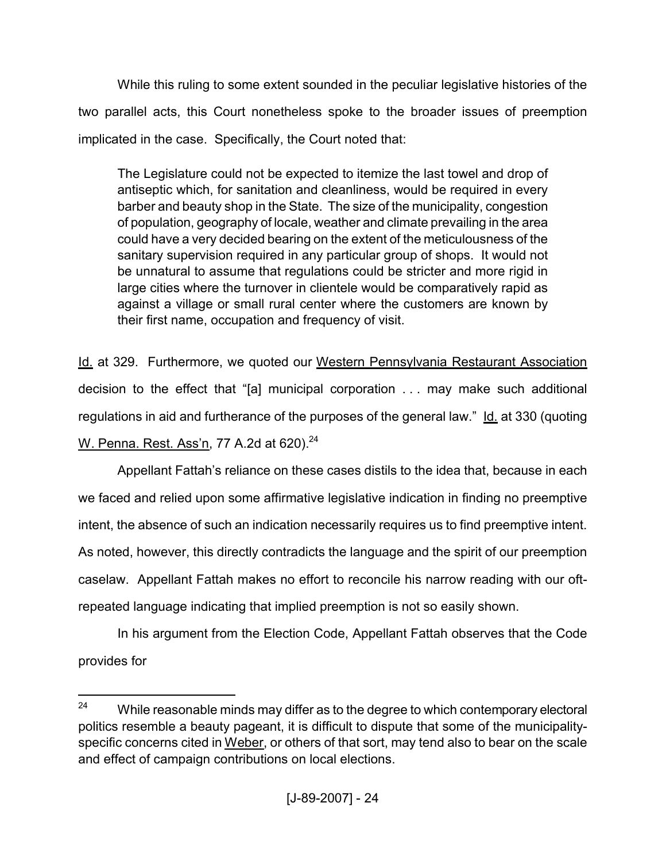While this ruling to some extent sounded in the peculiar legislative histories of the two parallel acts, this Court nonetheless spoke to the broader issues of preemption implicated in the case. Specifically, the Court noted that:

The Legislature could not be expected to itemize the last towel and drop of antiseptic which, for sanitation and cleanliness, would be required in every barber and beauty shop in the State. The size of the municipality, congestion of population, geography of locale, weather and climate prevailing in the area could have a very decided bearing on the extent of the meticulousness of the sanitary supervision required in any particular group of shops. It would not be unnatural to assume that regulations could be stricter and more rigid in large cities where the turnover in clientele would be comparatively rapid as against a village or small rural center where the customers are known by their first name, occupation and frequency of visit.

Id. at 329. Furthermore, we quoted our Western Pennsylvania Restaurant Association decision to the effect that "[a] municipal corporation . . . may make such additional regulations in aid and furtherance of the purposes of the general law."  $\underline{Id}$  at 330 (quoting W. Penna. Rest. Ass'n, 77 A.2d at 620).<sup>24</sup>

Appellant Fattah's reliance on these cases distils to the idea that, because in each we faced and relied upon some affirmative legislative indication in finding no preemptive intent, the absence of such an indication necessarily requires us to find preemptive intent. As noted, however, this directly contradicts the language and the spirit of our preemption caselaw. Appellant Fattah makes no effort to reconcile his narrow reading with our oftrepeated language indicating that implied preemption is not so easily shown.

In his argument from the Election Code, Appellant Fattah observes that the Code provides for

 $24$  While reasonable minds may differ as to the degree to which contemporary electoral politics resemble a beauty pageant, it is difficult to dispute that some of the municipalityspecific concerns cited in Weber, or others of that sort, may tend also to bear on the scale and effect of campaign contributions on local elections.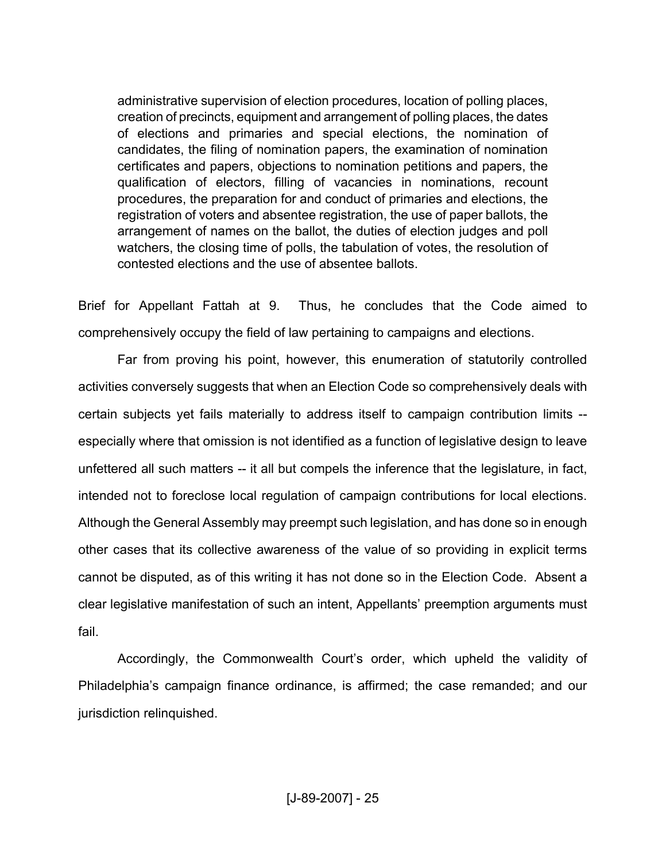administrative supervision of election procedures, location of polling places, creation of precincts, equipment and arrangement of polling places, the dates of elections and primaries and special elections, the nomination of candidates, the filing of nomination papers, the examination of nomination certificates and papers, objections to nomination petitions and papers, the qualification of electors, filling of vacancies in nominations, recount procedures, the preparation for and conduct of primaries and elections, the registration of voters and absentee registration, the use of paper ballots, the arrangement of names on the ballot, the duties of election judges and poll watchers, the closing time of polls, the tabulation of votes, the resolution of contested elections and the use of absentee ballots.

Brief for Appellant Fattah at 9. Thus, he concludes that the Code aimed to comprehensively occupy the field of law pertaining to campaigns and elections.

Far from proving his point, however, this enumeration of statutorily controlled activities conversely suggests that when an Election Code so comprehensively deals with certain subjects yet fails materially to address itself to campaign contribution limits - especially where that omission is not identified as a function of legislative design to leave unfettered all such matters -- it all but compels the inference that the legislature, in fact, intended not to foreclose local regulation of campaign contributions for local elections. Although the General Assembly may preempt such legislation, and has done so in enough other cases that its collective awareness of the value of so providing in explicit terms cannot be disputed, as of this writing it has not done so in the Election Code. Absent a clear legislative manifestation of such an intent, Appellants' preemption arguments must fail.

Accordingly, the Commonwealth Court's order, which upheld the validity of Philadelphia's campaign finance ordinance, is affirmed; the case remanded; and our jurisdiction relinquished.